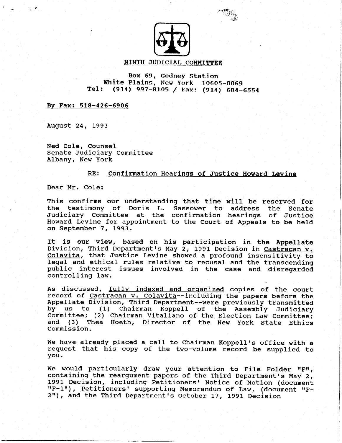

 $\curvearrowright$  $\mathcal{L}(\mathcal{E})$ 

### NINTH JUDICIAL COMMITTEE

### Box 69, Gedney Station White Plains, New York 10605-0069<br>Tel: (914) 997-8105 / Fax: (914) 684-(914) 997-8105 / Fax: (914) 684-6554

Bv Fax: 518-426-69O6

August 24, 1993

Ned CoIe, Counsel Senate Judiciary Committee Albany, New York

## RE: Confirnation Hearinqs of Justice Howard Levine

Dear Mr. CoIe:

This confirms our understanding that time will be reserved for the testimony of Doris L. Sassower to address the Senate Judiciary Committee at the confirmation hearings of Justice Howard Levine for appointment to the Court of Appeals to be held on September 7, 1993.

ft is our view, based on his participation in the Appel1ate Division, Third Department's May 2, 1991 Decision in Castracan v. Colavita, that Justice Levine showed a profound insensitivity to legal and ethical rules relative to recusal and the transcending public interest issues involved in the case and disregarded controlling law.

As discussed, fully indexed and organized copies of the court record of Castracan v. Colavita--including the papers before the Appellate Division, Third Department--were previously transmltted by us to (1) Chairman Koppell of the Assembly Judicia: Committee; (2) Chairman Vitaliano of the Election Law Committee and (3) Thea Hoeth, Director of the New york state Ethics Commission.

We have already placed a call to Chairman Koppell's office with a request that his copy of the two-volume record be supplied to you.

We would particularly draw your attention to File Folder "F", containing the reargument papers of the Third Department's May 2, 1991 Decision, including Petitioners' Notice of Motion (document<br>"F-1"), Petitioners' supporting Memorandum of Law, (document "F-2"), and the Third Department's October 17, 1991 Decision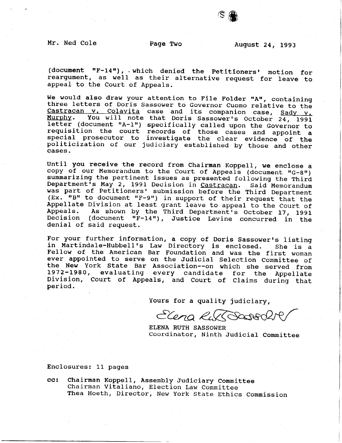€e

(document "F-14"), which denied the Petitioners' motion for reargument, as welI as their alternative request for leave to appeal to the Court of Appeals.

We would also draw your attention to File Folder "A", containing three letters of Doris Sassower to Governor Cuomo relative to the Castracan v. Colavita case and its companion case, Sady v. Murphy. You will note that Doris Sassower's October 24, 1991 letter (document "A-1") specifically called upon the Governor to requisition the court records of those cases and appoint a special prosecutor to investigate the clear evidence of the politicization of our judiciary established by those and other cases.

Until you receive the record from Chairman Koppell, we enclose a copy of our Memorandum to the Court of Appeals (document " $G-8$ ") summarizing the pertinent issues as presented following the Third Department's May 2, 1991 Decision in Castracan. Said Memorandum was part of Petitioners' submission before the Third Department  $(EX. "IB" to document "F-9") in support of their request that the$ Appellate Division at least grant leave to appeal to tne Court of Appeals. As shown by the Third Department's October 17, 1991 Decision (document "F-14"), Justice Levine concurred in the denial of said request.

For your further information, a copy of Doris Sassower's listing<br>in Martindale-Hubbell's Law Directory is enclosed. She is a in Martindale-Hubbell's Law Directory is enclosed. Fellow of the American Bar Foundation and was the first woman ever appointed to serve on the Judicial Selection Committee of the New York State Bar Association--on which she served from 1972-1980, evaluating every candidate for the Appellate Division, court of Appeals, and court of claims during that period.

Yours for a quality judiciary,

Elena RussBootBOLK

ELENA RUTH SASSOWER Coordinator, Ninth Judicial Committee

Enclosures: Ll- pages

Chairman Koppell, Assembly Judiciary Committee Chairman Vitaliano, Election Law Committee Thea Hoeth, Director, New york state Ethics commission cc: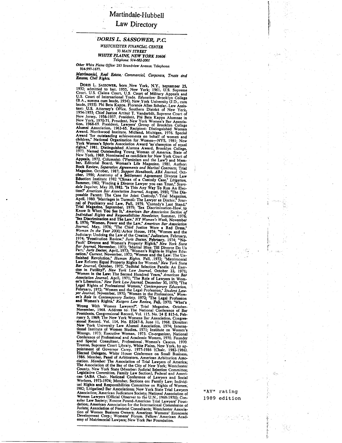## Martindale-Hubbell

#### Law Directory

## DORIS L. SASSOWER, P.C. **WESTCHESTER FINANCIAL CENTER** 50 MAIN STR<mark>EET</mark> **WHITE PLAINS, NEW YORK 10606**<br>Telephone: 914-682-2001

Other White Plains Office: 283 Soundview Avenue. Telephone: 914-997-1677.

Matrimonial, Real Estate, Commercial, Corporate, Trusts and<br>Estates, Civil Rights.

Other Walker Hans Office 233 Saundview Avessa. Totphone<br>
War Mental Office 233 Saundview Avessa. Totphone<br>
Marker Commercial Corporate Tutti and<br>
Marker Commercial Corporate Tutti and<br>
Marker Commercial Commercial Corporat sual Lawyers', Nosce Found-American I rial Lawyers' Found-<br>dation; American Association for the International Commission of<br>Jurists; Association of Feminist Consultants; Westchester Associa-<br>tion of Women Business Owners;

"AV" rating 1989 edition

 $\sim 100$ 

있다.<br>사항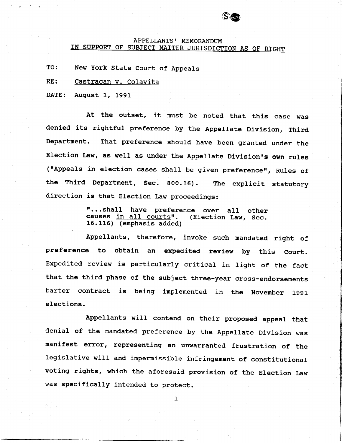# APPELLANTS' MEMORANDUM<br>IN SUPPORT OF SUBJECT MATTER JURISDICTION AS OF RIGHT

eo

TO: New York State Court of Appeals

RE: Castracan v. Colavita

DATE: August L, 1991

At the outset, it must be noted that this case was denied its rightful preference by the Appellate Division, Third Department. That preference should have been granted under the Election Law, as well as under the Appellate Division's own rules ("Appeals in election cases shall be given preference", Rules of the Third Department, Sec. 800.16). The explicit statutory direction is that Election Law proceedings:

> "...shall have preference over all other<br>causes <u>in all courts</u>". (Election Law, Sec. causes in all courts". 16.115) (enphasis added)

Appellants, therefore, invoke such mandated right of preference to obtain an expedited review by this court. Expedited review is particularly critical in light of the fact that the third phase of the subject three-year cross-endorsements barter contract is being implemented in the November 1991 elections.

Appellants will contend on their proposed appeal that denial of the mandated preference by the Appellate Division was manifest error, representing an unwarranted frustration of the legislative will and impermissible infringement of constitutional voting rights, which the aforesaid provision of the Election Law was specifically intended to protect.

 $\mathbf{1}$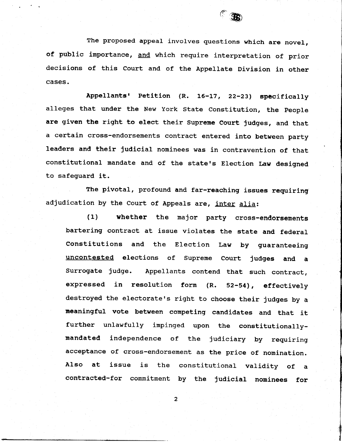

The proposed appeal involves questions which are novel, of public importance, and which require interpretation of prior decisions of this Court and of the Appellate Division in other cases.

Appellants' Petition (R. 16-17, 22-23) specifically alleges that under the New York State Constitution, the people are given the right to elect their Supreme Court judges, and that a certain cross-endorsements contract entered into between party leaders and their judicial nominees was in contravention of that constitutional mandate and of the state's Election Law designed to safeguard it.

The pivotal, profound and far-reaching issues requiring adjudication by the Court of Appeals are, inter alia:

(1) whether the najor party cross-endorsements bartering contract at issue violates the state and federal Constitutions and the Election Law by guaranteeing uncontested elections of supreme court judges and a surrogate judge. Appellants contend that such contract, expressed in resolution form  $(R. 52-54)$ , effectively destroyed the electorate's right to choose their judges by a neaningful vote between conpeting candidates and that it further unlawfully impinged upon the constitutionallymandated independence of the judiciary by requiring acceptance of cross-endorsement as the price of nomination. Also at issue is the constitutional validity of a contracted-for commitment by the judicial nominees for

 $\overline{2}$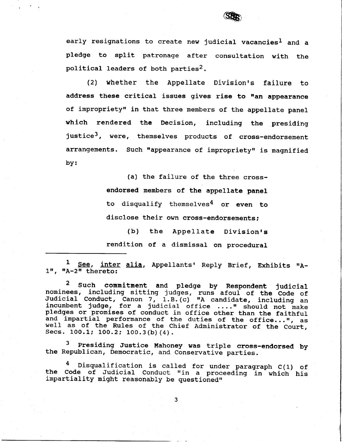

early resignations to create new judicial vacancies<sup>1</sup> and a pledge to split patronage after consultation with the political leaders of both parties<sup>2</sup>.

(21 whether the Appellate Division's failure to address these critical issues gives rise to "an appearance of impropriety" in that three members of the appellate panel which rendered the Decision, including the presiding justice<sup>3</sup>, were, themselves products of cross-endorsement arrangements. Such "appearance of impropriety" is magnified by:

> (a) the failure of the three crossendorsed members of the appellate panel to disqualify themselves<sup>4</sup> or even to disclose their own cross-endorsements;

(b) the Appellate Division's rendition of a dismissal on procedural

1 See, inter alia, Appellants' Reply Brief, Exhibits "A- $1$ ", "A-2" thereto:

<sup>2</sup> Such commitment and pledge by Respondent judicial<br>nominees, including sitting judges, runs afoul of the Code of Judicial Conduct, Canon 7, 1.B. (c) "A candidate, including an incumbent judge, for a judicial office ...." should not make pledges or promises of conduct in office other than the faithful and impartial performance of the duties of the office...", as well as of the Rules of the Chief Administrator of the Court Secs.  $100.1$ ;  $100.2$ ;  $100.3$  (b) (4).

Presiding Justice Mahoney was triple cross-endorsed by the Republican, Democratic, and Conservative parties.

4 Disqualification is called for under paragraph C(1) of the Code of Judicial Conduct "in a proceeding in which his impartiality might reasonably be questioned"

3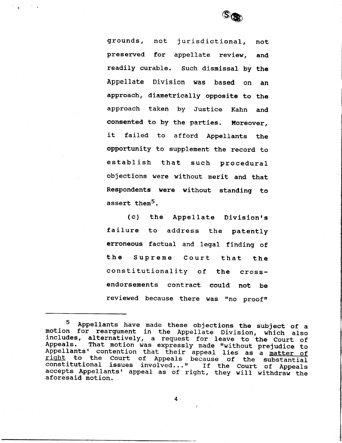

grounds, not jurisdictional, not preserved for appellate review, and readily curable. Such dismissal by the Appellate Division was based on an approach, diametrically opposite to the approach taken by Justice Kahn and consented to by the parties. Moreover, it failed to afford Appellants the opportunity to supplement the record to establish that such procedural objections were without nerit and that Respondents were without standing to assert them<sup>5</sup>.

(c) the Appellate Division's failure to address the patently erroneous factual and legal finding of the Supreme Court that the constitutionality of the crossendorsements contract could not be reviewed because there was "no proof"

<sup>&</sup>lt;sup>5</sup> Appellants have made these objections the subject of a motion for reargument in the Appellate Division, which also includes, alternatively, a request for leave to the Court of<br>Appeals. That motion was expressly made "without prejudice to<br>Appellants' contention that their appeal lies as a matter of<br>right to the Court of Appeals because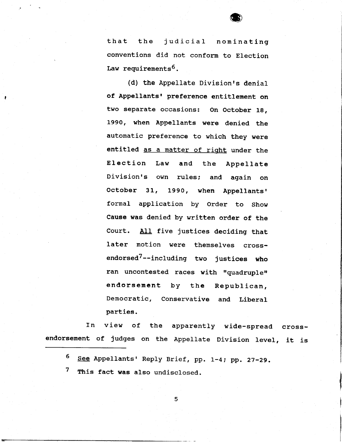that the judicial nominating conventions did not conform to Election Law requirements<sup>6</sup>.

(d) the Appellate Division's denial of Appellants' preference entitlement on two separate occasions: On October 19, 1990, when Appellants were denied the automatic preference to which they were entitled as a matter of right under the Election Law and the Appellate Division's own rules; and again on October 31, 1990, when Appellants' formal application by Order to Show Cause was denied by written order of the Court. All five justices deciding that later motion were themselves crossendorsed<sup>7</sup>--including two justices who ran uncontested races with "quadruple" endorsement by the Republican, Democratic, Conservative and Liberal parties.

In view of the apparently wide-spread crossendorsement of judges on the Appellate Division level, it is

See Appellants' Reply Brief, pp. 1-4; pp. 27-29. 6

This fact was also undisclosed. 7

5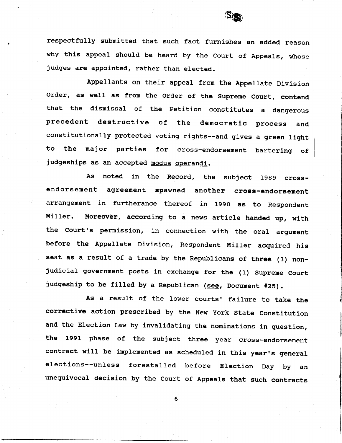

I

respectfully subnitted that such fact furnishes an added reason why this appeal should be heard by the Court of Appeals, whose judges are appointed, rather than elected.

Appellants on their appeal fron the Appellate Division order, as well as from the Order of the Supreme Court, contend that the dismissal of the Petition constitutes a dangerous precedent destructive of the democratic process and constitutionally protected voting rights--and gives a green light to the najor parties for cross-endorsement bartering of judgeships as an accepted modus operandi.

As noted in the Record, the subject 1989 crossendorsement agreement spawned another cross-endorsement arrangement in furtherance thereof in 1990 as to Respondent Miller. Moreover, according to a news article handed up, with the Court's permission, in connection with the oral argument before the Appellate Division, Respondent Miller acquired his seat as a result of a trade by the Republicans of three (3) nonjudicial government posts in exchange for the (1) Supreme Court judgeship to be filled by a Republican (see, Document #25).

As a result of the lower courts' failure to take the corrective action preseribed by the New York State Constitution and the Election Law by invalidating the nominations in question, the 1991 phase of the subject three year cross-endorsement contract will be implemented as scheduled in this year's general elections--unless forestalled before Election Day by an uneguivocal decision by the Court of Appeals that such contracts

6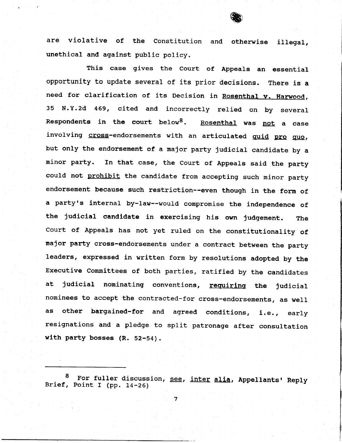

are violative of the Constitution and otherwise illega unethical and agalnst public policy.

This case gives the Court of Appeals an essential opportunity to update several of its prior decisions. There is a need for clarification of its Decision in Rosenthal v. Harwood, 35 N.Y.2d 469, cited and incorrectly relied on by several Respondents in the court below<sup>8</sup>. Rosenthal was not a case involving cross-endorsements with an articulated quid pro quo, but only the endorsement of a najor party judicial candidate by a minor party. In that case, the Court of Appeals said the party could not prohibit the candidate from accepting such minor party endorsement because such restriction--even though in the form of a party's internal by-law--would compromise the independence of the judicial candidate in exercising his own judgement. The court of Appeals has not yet ruled on the constitutionality of major party cross-endorsements under a contract between the party leaders, expressed in written form by resolutions adopted by the Executive Comnittees of both parties, ratified by the candidates at judicial nominating conventions, requiring the judicial nominees to accept the contracted-for cross-endorsements, as weII as other bargained-for and agreed conditions, i.e., early resignations and a pledge to split patronage after consultation with party bosses  $(R. 52-54)$ .

<sup>&</sup>lt;sup>8</sup> For fuller discussion, <u>see, inter alia</u>, Appellants' Reply Brief, Point I (pp. 14-26)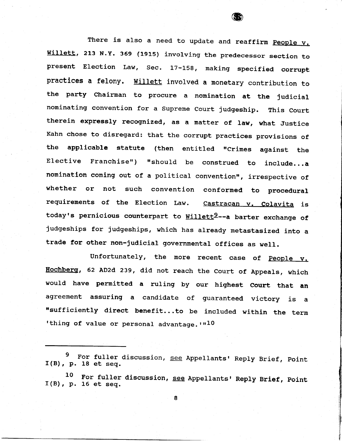There is also a need to update and reaffirm People v. Willett, 213 N.Y. 369 (1915) involving the predecessor section to present Election Law, Sec. 17-158, making specified corrupt practices a felony. Willett involved a monetary contribution to the party chairman to procure a nomination at the judicial nominating convention for a Supreme Court judgeship. This Court therein expressly recognized, as a matter of law, what Justice Kahn chose to disregard: that the corrupt practices provisions of the applicable statute (then entitled "Crimes against the Elective Franchise") "should be construed to include...a nomination coming out of a political convention", irrespective of whether or not such convention conformed to procedural requirements of the Election Law. Castracan v. Colavita is today's pernicious counterpart to Willett<sup>9</sup>--a barter exchange of judgeships for judgeships, which has already metastasized into a trade for other non-judicial governmental offices as well.

æ

Unfortunately, the more recent case of  $People$ ,</u> Hochberg, 62 AD2d 239, did not reach the Court of Appeals, which would have permitted a ruling by our highest Court that an agreement assuring a candidate of guaranteed victory is a "sufficiently direct benefit...to be included within the term 'thing of value or personal advantage.  $r^{10}$ 

9  $I(B)$ , p. 18 et seq. For fuller discussion, see Appellants' Reply Brief, Point

<sup>1</sup>\_0  $I(B)$ , p. 16 et seq. For fuller discussion, see Appellants' Reply Brief, Point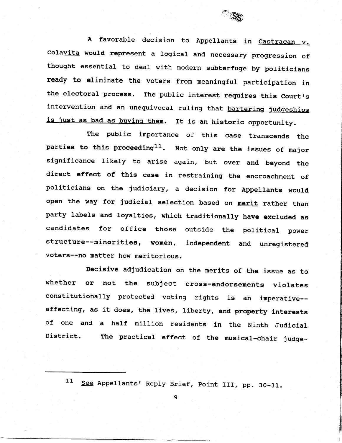

A favorable decision to Appellants in Castracan v. colavita would represent a loglcal and necessary progression of thought essential to deal with modern subterfuge by politicians ready to eliminate the voters fron meaningful participation in the electoral process. The public interest requires this Court's intervention and an unequivocal ruling that bartering judgeships is just as bad as buying them. It is an historic opportunity.

The public importance of this case transcends the parties to this proceeding<sup>11</sup>. Not only are the issues of major significance 1ike1y to arise again, but over and beyond the direct effect of this case in restraining the encroachment of politicians on the judiciary, a decision for Appellants would open the way for judicial selection based on merit rather than party labels and loyalties, which traditionally have excluded as candidates for office those outside the political power structure--minorities, women, independent and unregistered voters--no matter how meritorious.

Decisive adjudication on the nerits of the issue as to whether or not the subject cross-endorsements violates constitutionally protected voting rights is an imperative-affecting, as it does, the lives, liberty, and property interests of one and a half million residents in the Ninth Judicial District. The practical effect of the musical-chair judge-

11 See Appellants' Reply Brief, Point III, pp. 30-31.